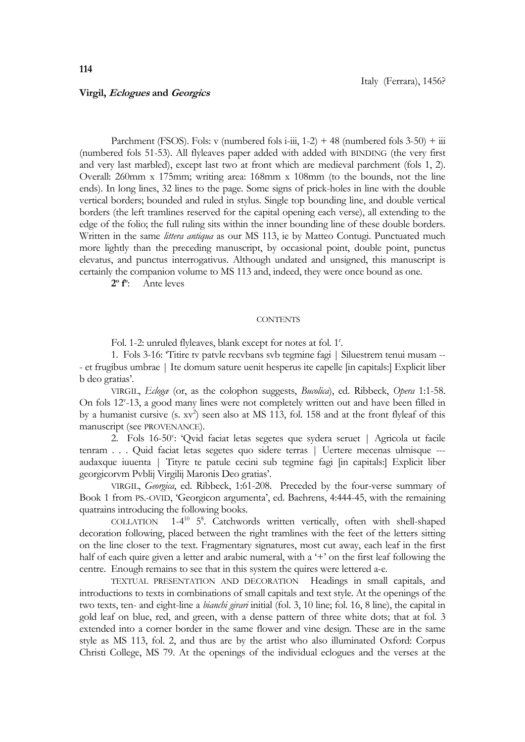## **Virgil, Eclogues and Georgics**

Parchment (FSOS). Fols: v (numbered fols i-iii,  $1-2$ ) + 48 (numbered fols  $3-50$ ) + iii (numbered fols 51-53). All flyleaves paper added with added with BINDING (the very first and very last marbled), except last two at front which are medieval parchment (fols 1, 2). Overall: 260mm x 175mm; writing area: 168mm x 108mm (to the bounds, not the line ends). In long lines, 32 lines to the page. Some signs of prick-holes in line with the double vertical borders; bounded and ruled in stylus. Single top bounding line, and double vertical borders (the left tramlines reserved for the capital opening each verse), all extending to the edge of the folio; the full ruling sits within the inner bounding line of these double borders. Written in the same *littera antiqua* as our MS 113, ie by Matteo Contugi. Punctuated much more lightly than the preceding manuscript, by occasional point, double point, punctus elevatus, and punctus interrogativus. Although undated and unsigned, this manuscript is certainly the companion volume to MS 113 and, indeed, they were once bound as one.

**2 o f o** : Ante leves

## **CONTENTS**

Fol. 1-2: unruled flyleaves, blank except for notes at fol. 1<sup>r</sup>.

1. Fols 3-16: 'Titire tv patvle recvbans svb tegmine fagi | Siluestrem tenui musam -- - et frugibus umbrae | Ite domum sature uenit hesperus ite capelle [in capitals:] Explicit liber b deo gratias'.

VIRGIL, *Eclogæ* (or, as the colophon suggests, *Bucolica*), ed. Ribbeck, *Opera* 1:1-58. On fols 12<sup>v</sup>-13, a good many lines were not completely written out and have been filled in by a humanist cursive  $(s. xv^2)$  seen also at MS 113, fol. 158 and at the front flyleaf of this manuscript (see PROVENANCE).

2. Fols 16-50": 'Qvid faciat letas segetes que sydera seruet | Agricola ut facile tenram . . . Quid faciat letas segetes quo sidere terras | Uertere mecenas ulmisque -- audaxque iuuenta | Tityre te patule cecini sub tegmine fagi [in capitals:] Explicit liber georgicorvm Pvblij Virgilij Maronis Deo gratias'.

VIRGIL, *Georgica*, ed. Ribbeck, 1:61-208. Preceded by the four-verse summary of Book 1 from PS.-OVID, 'Georgicon argumenta', ed. Baehrens, 4:444-45, with the remaining quatrains introducing the following books.

COLLATION <sup>10</sup> 5<sup>8</sup>. Catchwords written vertically, often with shell-shaped decoration following, placed between the right tramlines with the feet of the letters sitting on the line closer to the text. Fragmentary signatures, most cut away, each leaf in the first half of each quire given a letter and arabic numeral, with a '+' on the first leaf following the centre. Enough remains to see that in this system the quires were lettered a-e.

TEXTUAL PRESENTATION AND DECORATION Headings in small capitals, and introductions to texts in combinations of small capitals and text style. At the openings of the two texts, ten- and eight-line a *bianchi girari* initial (fol. 3, 10 line; fol. 16, 8 line), the capital in gold leaf on blue, red, and green, with a dense pattern of three white dots; that at fol. 3 extended into a corner border in the same flower and vine design. These are in the same style as MS 113, fol. 2, and thus are by the artist who also illuminated Oxford: Corpus Christi College, MS 79. At the openings of the individual eclogues and the verses at the